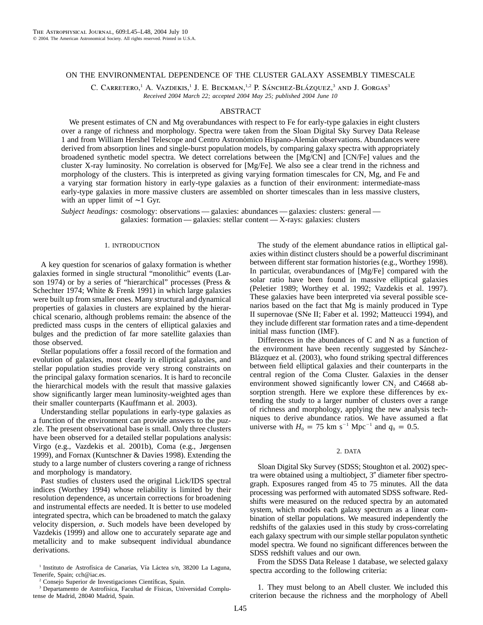## ON THE ENVIRONMENTAL DEPENDENCE OF THE CLUSTER GALAXY ASSEMBLY TIMESCALE

C. CARRETERO,<sup>1</sup> A. VAZDEKIS,<sup>1</sup> J. E. BECKMAN,<sup>1,2</sup> P. SÁNCHEZ-BLÁZQUEZ,<sup>3</sup> AND J. GORGAS<sup>3</sup> *Received 2004 March 22; accepted 2004 May 25; published 2004 June 10*

# ABSTRACT

We present estimates of CN and Mg overabundances with respect to Fe for early-type galaxies in eight clusters over a range of richness and morphology. Spectra were taken from the Sloan Digital Sky Survey Data Release 1 and from William Hershel Telescope and Centro Astronómico Hispano-Alemán observations. Abundances were derived from absorption lines and single-burst population models, by comparing galaxy spectra with appropriately broadened synthetic model spectra. We detect correlations between the [Mg/CN] and [CN/Fe] values and the cluster X-ray luminosity. No correlation is observed for [Mg/Fe]. We also see a clear trend in the richness and morphology of the clusters. This is interpreted as giving varying formation timescales for CN, Mg, and Fe and a varying star formation history in early-type galaxies as a function of their environment: intermediate-mass early-type galaxies in more massive clusters are assembled on shorter timescales than in less massive clusters, with an upper limit of ∼1 Gyr.

*Subject headings:* cosmology: observations — galaxies: abundances — galaxies: clusters: general galaxies: formation — galaxies: stellar content — X-rays: galaxies: clusters

#### 1. INTRODUCTION

A key question for scenarios of galaxy formation is whether galaxies formed in single structural "monolithic" events (Larson 1974) or by a series of "hierarchical" processes (Press & Schechter 1974; White & Frenk 1991) in which large galaxies were built up from smaller ones. Many structural and dynamical properties of galaxies in clusters are explained by the hierarchical scenario, although problems remain: the absence of the predicted mass cusps in the centers of elliptical galaxies and bulges and the prediction of far more satellite galaxies than those observed.

Stellar populations offer a fossil record of the formation and evolution of galaxies, most clearly in elliptical galaxies, and stellar population studies provide very strong constraints on the principal galaxy formation scenarios. It is hard to reconcile the hierarchical models with the result that massive galaxies show significantly larger mean luminosity-weighted ages than their smaller counterparts (Kauffmann et al. 2003).

Understanding stellar populations in early-type galaxies as a function of the environment can provide answers to the puzzle. The present observational base is small. Only three clusters have been observed for a detailed stellar populations analysis: Virgo (e.g., Vazdekis et al. 2001b), Coma (e.g., Jørgensen 1999), and Fornax (Kuntschner & Davies 1998). Extending the study to a large number of clusters covering a range of richness and morphology is mandatory.

Past studies of clusters used the original Lick/IDS spectral indices (Worthey 1994) whose reliability is limited by their resolution dependence, as uncertain corrections for broadening and instrumental effects are needed. It is better to use modeled integrated spectra, which can be broadened to match the galaxy velocity dispersion,  $\sigma$ . Such models have been developed by Vazdekis (1999) and allow one to accurately separate age and metallicity and to make subsequent individual abundance derivations.

<sup>1</sup> Instituto de Astrofísica de Canarias, Vía Láctea s/n, 38200 La Laguna, Tenerife, Spain; cch@iac.es.

<sup>2</sup> Consejo Superior de Investigaciones Científicas, Spain.

<sup>3</sup> Departamento de Astrofísica, Facultad de Físicas, Universidad Complutense de Madrid, 28040 Madrid, Spain.

The study of the element abundance ratios in elliptical galaxies within distinct clusters should be a powerful discriminant between different star formation histories (e.g., Worthey 1998). In particular, overabundances of [Mg/Fe] compared with the solar ratio have been found in massive elliptical galaxies (Peletier 1989; Worthey et al. 1992; Vazdekis et al. 1997). These galaxies have been interpreted via several possible scenarios based on the fact that Mg is mainly produced in Type II supernovae (SNe II; Faber et al. 1992; Matteucci 1994), and they include different star formation rates and a time-dependent initial mass function (IMF).

Differences in the abundances of C and N as a function of the environment have been recently suggested by Sánchez-Blázquez et al. (2003), who found striking spectral differences between field elliptical galaxies and their counterparts in the central region of the Coma Cluster. Galaxies in the denser environment showed significantly lower CN<sub>2</sub> and C4668 absorption strength. Here we explore these differences by extending the study to a larger number of clusters over a range of richness and morphology, applying the new analysis techniques to derive abundance ratios. We have assumed a flat universe with  $H_0 = 75$  km s<sup>-1</sup> Mpc<sup>-1</sup> and  $q_0 = 0.5$ .

## 2. DATA

Sloan Digital Sky Survey (SDSS; Stoughton et al. 2002) spectra were obtained using a multiobject, 3" diameter fiber spectrograph. Exposures ranged from 45 to 75 minutes. All the data processing was performed with automated SDSS software. Redshifts were measured on the reduced spectra by an automated system, which models each galaxy spectrum as a linear combination of stellar populations. We measured independently the redshifts of the galaxies used in this study by cross-correlating each galaxy spectrum with our simple stellar populaton synthetic model spectra. We found no significant differences between the SDSS redshift values and our own.

From the SDSS Data Release 1 database, we selected galaxy spectra according to the following criteria:

1. They must belong to an Abell cluster. We included this criterion because the richness and the morphology of Abell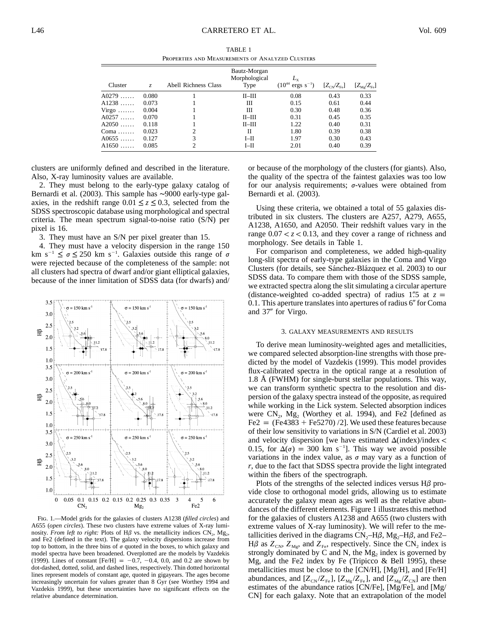TABLE 1 Properties and Measurements of Analyzed Clusters

| Cluster | Z.    | Abell Richness Class | Bautz-Morgan<br>Morphological<br>Type | $(10^{44} \text{ ergs s}^{-1})$ | $[Z_{\text{CN}}/Z_{\text{Fe}}]$ | $[Z_{\rm Mg}/Z_{\rm Fe}]$ |
|---------|-------|----------------------|---------------------------------------|---------------------------------|---------------------------------|---------------------------|
| $A0279$ | 0.080 |                      | $II$ -III                             | 0.08                            | 0.43                            | 0.33                      |
| $A1238$ | 0.073 |                      | Ш                                     | 0.15                            | 0.61                            | 0.44                      |
| $Virgo$ | 0.004 |                      | Ш                                     | 0.30                            | 0.48                            | 0.36                      |
| A0257   | 0.070 |                      | $II$ -III                             | 0.31                            | 0.45                            | 0.35                      |
| A2050   | 0.118 |                      | $II$ -III                             | 1.22                            | 0.40                            | 0.31                      |
| $Coma$  | 0.023 | ↑                    | П                                     | 1.80                            | 0.39                            | 0.38                      |
| A0655   | 0.127 |                      | $I$ -II                               | 1.97                            | 0.30                            | 0.43                      |
| $A1650$ | 0.085 |                      | $I$ -II                               | 2.01                            | 0.40                            | 0.39                      |

clusters are uniformly defined and described in the literature. Also, X-ray luminosity values are available.

2. They must belong to the early-type galaxy catalog of Bernardi et al. (2003). This sample has ∼9000 early-type galaxies, in the redshift range  $0.01 \le z \le 0.3$ , selected from the SDSS spectroscopic database using morphological and spectral criteria. The mean spectrum signal-to-noise ratio (S/N) per pixel is 16.

3. They must have an S/N per pixel greater than 15.

4. They must have a velocity dispersion in the range 150 km s<sup>-1</sup>  $\leq \sigma \leq 250$  km s<sup>-1</sup>. Galaxies outside this range of  $\sigma$ were rejected because of the completeness of the sample: not all clusters had spectra of dwarf and/or giant elliptical galaxies, because of the inner limitation of SDSS data (for dwarfs) and/



Fig. 1.—Model grids for the galaxies of clusters A1238 (*filled circles*) and A655 (*open circles*). These two clusters have extreme values of X-ray luminosity. *From left to right:* Plots of  $H\beta$  vs. the metallicity indices  $CN_2$ ,  $Mg_2$ , and Fe2 (defined in the text). The galaxy velocity dispersions increase from top to bottom, in the three bins of  $\sigma$  quoted in the boxes, to which galaxy and model spectra have been broadened. Overplotted are the models by Vazdekis (1999). Lines of constant  $[Fe/H] = -0.7, -0.4, 0.0,$  and 0.2 are shown by dot-dashed, dotted, solid, and dashed lines, respectively. Thin dotted horizontal lines represent models of constant age, quoted in gigayears. The ages become increasingly uncertain for values greater than 8 Gyr (see Worthey 1994 and Vazdekis 1999), but these uncertainties have no significant effects on the relative abundance determination.

or because of the morphology of the clusters (for giants). Also, the quality of the spectra of the faintest galaxies was too low for our analysis requirements;  $\sigma$ -values were obtained from Bernardi et al. (2003).

Using these criteria, we obtained a total of 55 galaxies distributed in six clusters. The clusters are A257, A279, A655, A1238, A1650, and A2050. Their redshift values vary in the range  $0.07 < z < 0.13$ , and they cover a range of richness and morphology. See details in Table 1.

For comparison and completeness, we added high-quality long-slit spectra of early-type galaxies in the Coma and Virgo Clusters (for details, see Sánchez-Blázquez et al. 2003) to our SDSS data. To compare them with those of the SDSS sample, we extracted spectra along the slit simulating a circular aperture (distance-weighted co-added spectra) of radius 1.5 at  $z =$  $0.1$ . This aperture translates into apertures of radius  $6''$  for Coma and 37" for Virgo.

### 3. GALAXY MEASUREMENTS AND RESULTS

To derive mean luminosity-weighted ages and metallicities, we compared selected absorption-line strengths with those predicted by the model of Vazdekis (1999). This model provides flux-calibrated spectra in the optical range at a resolution of 1.8 Å (FWHM) for single-burst stellar populations. This way, we can transform synthetic spectra to the resolution and dispersion of the galaxy spectra instead of the opposite, as required while working in the Lick system. Selected absorption indices were  $CN_2$ ,  $Mg_2$  (Worthey et al. 1994), and Fe2 [defined as  $Fe2 = (Fe4383 + Fe5270)/2$ . We used these features because of their low sensitivity to variations in S/N (Cardiel et al. 2003) and velocity dispersion [we have estimated  $\Delta$ (index)/index < 0.15, for  $\Delta(\sigma) = 300$  km s<sup>-1</sup>. This way we avoid possible variations in the index value, as  $\sigma$  may vary as a function of *r*, due to the fact that SDSS spectra provide the light integrated within the fibers of the spectrograph.

Plots of the strengths of the selected indices versus  $H\beta$  provide close to orthogonal model grids, allowing us to estimate accurately the galaxy mean ages as well as the relative abundances of the different elements. Figure 1 illustrates this method for the galaxies of clusters A1238 and A655 (two clusters with extreme values of X-ray luminosity). We will refer to the metallicities derived in the diagrams  $CN_{2}$ –H $\beta$ , Mg<sub>2</sub>–H $\beta$ , and Fe2–  $H\beta$  as  $Z_{CN}$ ,  $Z_{Mg}$ , and  $Z_{Fe}$ , respectively. Since the CN<sub>2</sub> index is strongly dominated by  $C$  and  $N$ , the  $Mg_2$  index is governed by Mg, and the Fe2 index by Fe (Tripicco & Bell 1995), these metallicities must be close to the [CN/H], [Mg/H], and [Fe/H] abundances, and  $[Z_{CN}/Z_{Fe}]$ ,  $[Z_{Mg}/Z_{Fe}]$ , and  $[Z_{Mg}/Z_{CN}]$  are then estimates of the abundance ratios [CN/Fe], [Mg/Fe], and [Mg/ CN] for each galaxy. Note that an extrapolation of the model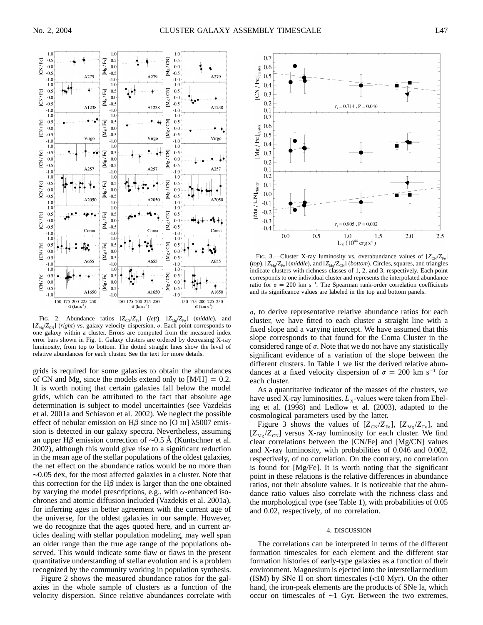

FIG. 2.—Abundance ratios  $[Z_{CN}/Z_{Fe}]$  (left),  $[Z_{Mg}/Z_{Fe}]$  (middle), and  $[Z_{\text{Mg}}/Z_{\text{CN}}]$  (*right*) vs. galaxy velocity dispersion,  $\sigma$ . Each point corresponds to one galaxy within a cluster. Errors are computed from the measured index error bars shown in Fig. 1. Galaxy clusters are ordered by decreasing X-ray luminosity, from top to bottom. The dotted straight lines show the level of relative abundances for each cluster. See the text for more details.

grids is required for some galaxies to obtain the abundances of CN and Mg, since the models extend only to  $[M/H] = 0.2$ . It is worth noting that certain galaxies fall below the model grids, which can be attributed to the fact that absolute age determination is subject to model uncertainties (see Vazdekis et al. 2001a and Schiavon et al. 2002). We neglect the possible effect of nebular emission on  $H\beta$  since no [O III]  $\lambda$ 5007 emission is detected in our galaxy spectra. Nevertheless, assuming an upper H $\beta$  emission correction of ∼0.5 Å (Kuntschner et al. 2002), although this would give rise to a significant reduction in the mean age of the stellar populations of the oldest galaxies, the net effect on the abundance ratios would be no more than ∼0.05 dex, for the most affected galaxies in a cluster. Note that this correction for the H $\beta$  index is larger than the one obtained by varying the model prescriptions, e.g., with  $\alpha$ -enhanced isochrones and atomic diffusion included (Vazdekis et al. 2001a), for inferring ages in better agreement with the current age of the universe, for the oldest galaxies in our sample. However, we do recognize that the ages quoted here, and in current articles dealing with stellar population modeling, may well span an older range than the true age range of the populations observed. This would indicate some flaw or flaws in the present quantitative understanding of stellar evolution and is a problem recognized by the community working in population synthesis.

Figure 2 shows the measured abundance ratios for the galaxies in the whole sample of clusters as a function of the velocity dispersion. Since relative abundances correlate with



FIG. 3.—Cluster X-ray luminosity vs. overabundance values of  $[Z_{CN}/Z_{Fe}]$ (*top*),  $[Z_{\text{Mg}}/Z_{\text{Fe}}]$  (*middle*), and  $[Z_{\text{Mg}}/Z_{\text{CN}}]$  (*bottom*). Circles, squares, and triangles indicate clusters with richness classes of 1, 2, and 3, respectively. Each point corresponds to one individual cluster and represents the interpolated abundance ratio for  $\sigma = 200$  km s<sup>-1</sup>. The Spearman rank-order correlation coefficients and its significance values are labeled in the top and bottom panels.

 $\sigma$ , to derive representative relative abundance ratios for each cluster, we have fitted to each cluster a straight line with a fixed slope and a varying intercept. We have assumed that this slope corresponds to that found for the Coma Cluster in the considered range of  $\sigma$ . Note that we do not have any statistically significant evidence of a variation of the slope between the different clusters. In Table 1 we list the derived relative abundances at a fixed velocity dispersion of  $\sigma = 200$  km s<sup>-1</sup> for each cluster.

As a quantitative indicator of the masses of the clusters, we have used X-ray luminosities.  $L<sub>x</sub>$ -values were taken from Ebeling et al. (1998) and Ledlow et al. (2003), adapted to the cosmological parameters used by the latter.

Figure 3 shows the values of  $[Z_{CN}/Z_{Fe}]$ ,  $[Z_{Mg}/Z_{Fe}]$ , and  $[Z_{\text{Mg}}/Z_{\text{CN}}]$  versus X-ray luminosity for each cluster. We find clear correlations between the [CN/Fe] and [Mg/CN] values and X-ray luminosity, with probabilities of 0.046 and 0.002, respectively, of no correlation. On the contrary, no correlation is found for [Mg/Fe]. It is worth noting that the significant point in these relations is the relative differences in abundance ratios, not their absolute values. It is noticeable that the abundance ratio values also correlate with the richness class and the morphological type (see Table 1), with probabilities of 0.05 and 0.02, respectively, of no correlation.

#### 4. DISCUSSION

The correlations can be interpreted in terms of the different formation timescales for each element and the different star formation histories of early-type galaxies as a function of their environment. Magnesium is ejected into the interstellar medium (ISM) by SNe II on short timescales  $\ll 10$  Myr). On the other hand, the iron-peak elements are the products of SNe Ia, which occur on timescales of ∼1 Gyr. Between the two extremes,